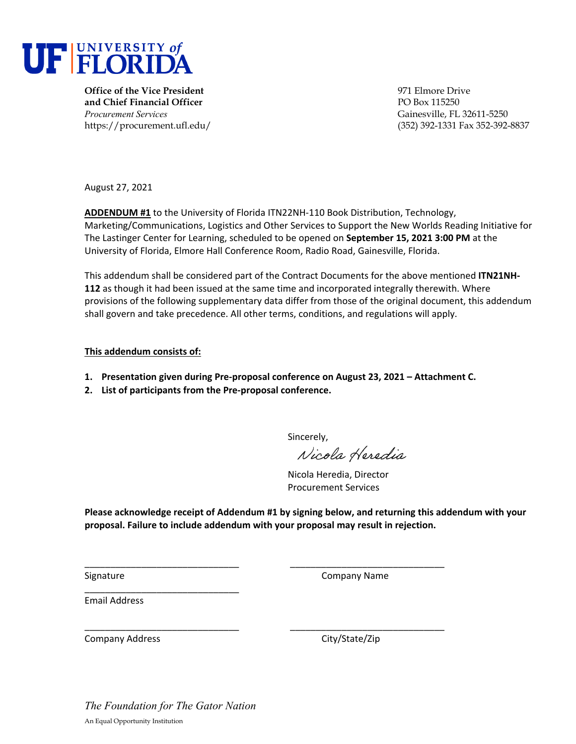

**Office of the Vice President** 971 Elmore Drive **and Chief Financial Officer** PO Box 115250 *Procurement Services* Gainesville, FL 32611-5250

https://procurement.ufl.edu/ (352) 392-1331 Fax 352-392-8837

August 27, 2021

**ADDENDUM #1** to the University of Florida ITN22NH‐110 Book Distribution, Technology, Marketing/Communications, Logistics and Other Services to Support the New Worlds Reading Initiative for The Lastinger Center for Learning, scheduled to be opened on **September 15, 2021 3:00 PM** at the University of Florida, Elmore Hall Conference Room, Radio Road, Gainesville, Florida.

This addendum shall be considered part of the Contract Documents for the above mentioned **ITN21NH‐ 112** as though it had been issued at the same time and incorporated integrally therewith. Where provisions of the following supplementary data differ from those of the original document, this addendum shall govern and take precedence. All other terms, conditions, and regulations will apply.

## **This addendum consists of:**

- **1. Presentation given during Pre‐proposal conference on August 23, 2021 – Attachment C.**
- **2. List of participants from the Pre‐proposal conference.**

Sincerely,

Nicola Heredia

Nicola Heredia, Director Procurement Services

**Please acknowledge receipt of Addendum #1 by signing below, and returning this addendum with your proposal. Failure to include addendum with your proposal may result in rejection.**

\_\_\_\_\_\_\_\_\_\_\_\_\_\_\_\_\_\_\_\_\_\_\_\_\_\_\_\_\_\_ \_\_\_\_\_\_\_\_\_\_\_\_\_\_\_\_\_\_\_\_\_\_\_\_\_\_\_\_\_\_

Signature **Company Name** 

Email Address

\_\_\_\_\_\_\_\_\_\_\_\_\_\_\_\_\_\_\_\_\_\_\_\_\_\_\_\_\_\_ \_\_\_\_\_\_\_\_\_\_\_\_\_\_\_\_\_\_\_\_\_\_\_\_\_\_\_\_\_\_ Company Address 
Company Address

Company City/State/Zip

*The Foundation for The Gator Nation*  An Equal Opportunity Institution

\_\_\_\_\_\_\_\_\_\_\_\_\_\_\_\_\_\_\_\_\_\_\_\_\_\_\_\_\_\_